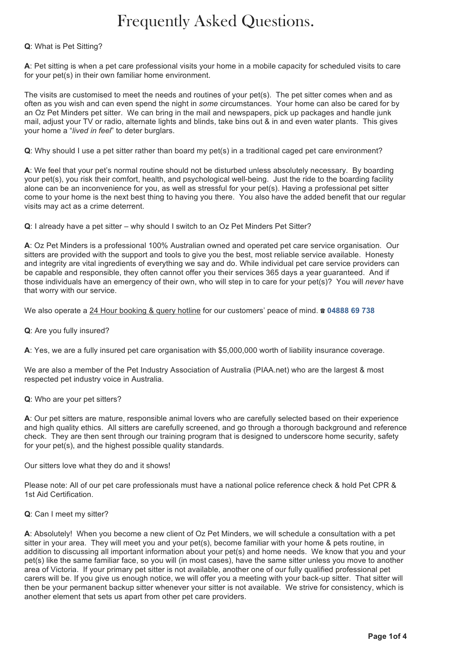# Frequently Asked Questions.

# **Q**: What is Pet Sitting?

**A**: Pet sitting is when a pet care professional visits your home in a mobile capacity for scheduled visits to care for your pet(s) in their own familiar home environment.

The visits are customised to meet the needs and routines of your pet(s). The pet sitter comes when and as often as you wish and can even spend the night in *some* circumstances. Your home can also be cared for by an Oz Pet Minders pet sitter. We can bring in the mail and newspapers, pick up packages and handle junk mail, adjust your TV or radio, alternate lights and blinds, take bins out & in and even water plants. This gives your home a "*lived in feel*" to deter burglars.

**Q**: Why should I use a pet sitter rather than board my pet(s) in a traditional caged pet care environment?

**A**: We feel that your pet's normal routine should not be disturbed unless absolutely necessary. By boarding your pet(s), you risk their comfort, health, and psychological well-being. Just the ride to the boarding facility alone can be an inconvenience for you, as well as stressful for your pet(s). Having a professional pet sitter come to your home is the next best thing to having you there. You also have the added benefit that our regular visits may act as a crime deterrent.

**Q**: I already have a pet sitter – why should I switch to an Oz Pet Minders Pet Sitter?

**A**: Oz Pet Minders is a professional 100% Australian owned and operated pet care service organisation. Our sitters are provided with the support and tools to give you the best, most reliable service available. Honesty and integrity are vital ingredients of everything we say and do. While individual pet care service providers can be capable and responsible, they often cannot offer you their services 365 days a year guaranteed. And if those individuals have an emergency of their own, who will step in to care for your pet(s)? You will *never* have that worry with our service.

We also operate a 24 Hour booking & query hotline for our customers' peace of mind. ☎ **04888 69 738**

**Q**: Are you fully insured?

**A**: Yes, we are a fully insured pet care organisation with \$5,000,000 worth of liability insurance coverage.

We are also a member of the Pet Industry Association of Australia (PIAA.net) who are the largest & most respected pet industry voice in Australia.

# **Q**: Who are your pet sitters?

**A**: Our pet sitters are mature, responsible animal lovers who are carefully selected based on their experience and high quality ethics. All sitters are carefully screened, and go through a thorough background and reference check. They are then sent through our training program that is designed to underscore home security, safety for your pet(s), and the highest possible quality standards.

Our sitters love what they do and it shows!

Please note: All of our pet care professionals must have a national police reference check & hold Pet CPR & 1st Aid Certification.

# **Q**: Can I meet my sitter?

**A**: Absolutely! When you become a new client of Oz Pet Minders, we will schedule a consultation with a pet sitter in your area. They will meet you and your pet(s), become familiar with your home & pets routine, in addition to discussing all important information about your pet(s) and home needs. We know that you and your pet(s) like the same familiar face, so you will (in most cases), have the same sitter unless you move to another area of Victoria. If your primary pet sitter is not available, another one of our fully qualified professional pet carers will be. If you give us enough notice, we will offer you a meeting with your back-up sitter. That sitter will then be your permanent backup sitter whenever your sitter is not available. We strive for consistency, which is another element that sets us apart from other pet care providers.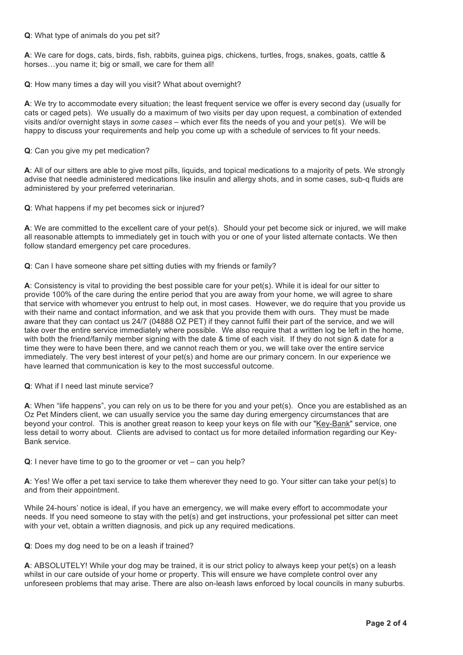# **Q**: What type of animals do you pet sit?

**A**: We care for dogs, cats, birds, fish, rabbits, guinea pigs, chickens, turtles, frogs, snakes, goats, cattle & horses...you name it; big or small, we care for them all!

**Q**: How many times a day will you visit? What about overnight?

**A**: We try to accommodate every situation; the least frequent service we offer is every second day (usually for cats or caged pets). We usually do a maximum of two visits per day upon request, a combination of extended visits and/or overnight stays in *some cases* – which ever fits the needs of you and your pet(s). We will be happy to discuss your requirements and help you come up with a schedule of services to fit your needs.

**Q**: Can you give my pet medication?

**A**: All of our sitters are able to give most pills, liquids, and topical medications to a majority of pets. We strongly advise that needle administered medications like insulin and allergy shots, and in some cases, sub-q fluids are administered by your preferred veterinarian.

**Q**: What happens if my pet becomes sick or injured?

**A**: We are committed to the excellent care of your pet(s). Should your pet become sick or injured, we will make all reasonable attempts to immediately get in touch with you or one of your listed alternate contacts. We then follow standard emergency pet care procedures.

**Q**: Can I have someone share pet sitting duties with my friends or family?

**A**: Consistency is vital to providing the best possible care for your pet(s). While it is ideal for our sitter to provide 100% of the care during the entire period that you are away from your home, we will agree to share that service with whomever you entrust to help out, in most cases. However, we do require that you provide us with their name and contact information, and we ask that you provide them with ours. They must be made aware that they can contact us 24/7 (04888 OZ PET) if they cannot fulfil their part of the service, and we will take over the entire service immediately where possible. We also require that a written log be left in the home, with both the friend/family member signing with the date & time of each visit. If they do not sign & date for a time they were to have been there, and we cannot reach them or you, we will take over the entire service immediately. The very best interest of your pet(s) and home are our primary concern. In our experience we have learned that communication is key to the most successful outcome.

# **Q**: What if I need last minute service?

**A**: When "life happens", you can rely on us to be there for you and your pet(s). Once you are established as an Oz Pet Minders client, we can usually service you the same day during emergency circumstances that are beyond your control. This is another great reason to keep your keys on file with our "Key-Bank" service, one less detail to worry about. Clients are advised to contact us for more detailed information regarding our Key-Bank service.

**Q**: I never have time to go to the groomer or vet – can you help?

**A**: Yes! We offer a pet taxi service to take them wherever they need to go. Your sitter can take your pet(s) to and from their appointment.

While 24-hours' notice is ideal, if you have an emergency, we will make every effort to accommodate your needs. If you need someone to stay with the pet(s) and get instructions, your professional pet sitter can meet with your vet, obtain a written diagnosis, and pick up any required medications.

# **Q**: Does my dog need to be on a leash if trained?

**A**: ABSOLUTELY! While your dog may be trained, it is our strict policy to always keep your pet(s) on a leash whilst in our care outside of your home or property. This will ensure we have complete control over any unforeseen problems that may arise. There are also on-leash laws enforced by local councils in many suburbs.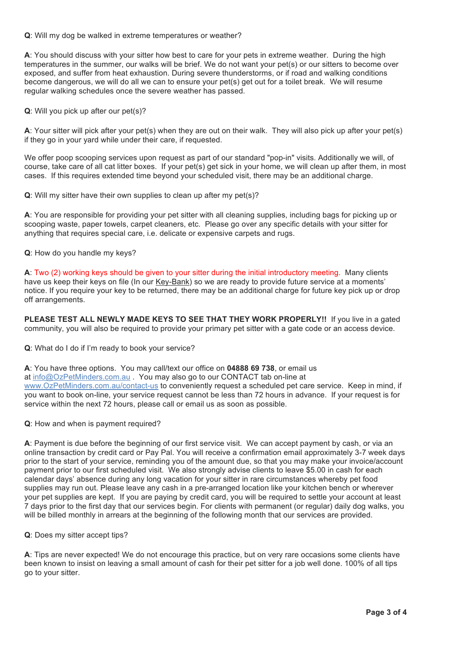**Q**: Will my dog be walked in extreme temperatures or weather?

**A**: You should discuss with your sitter how best to care for your pets in extreme weather. During the high temperatures in the summer, our walks will be brief. We do not want your pet(s) or our sitters to become over exposed, and suffer from heat exhaustion. During severe thunderstorms, or if road and walking conditions become dangerous, we will do all we can to ensure your pet(s) get out for a toilet break. We will resume regular walking schedules once the severe weather has passed.

**Q**: Will you pick up after our pet(s)?

**A**: Your sitter will pick after your pet(s) when they are out on their walk. They will also pick up after your pet(s) if they go in your yard while under their care, if requested.

We offer poop scooping services upon request as part of our standard "pop-in" visits. Additionally we will, of course, take care of all cat litter boxes. If your pet(s) get sick in your home, we will clean up after them, in most cases. If this requires extended time beyond your scheduled visit, there may be an additional charge.

**Q**: Will my sitter have their own supplies to clean up after my pet(s)?

**A**: You are responsible for providing your pet sitter with all cleaning supplies, including bags for picking up or scooping waste, paper towels, carpet cleaners, etc. Please go over any specific details with your sitter for anything that requires special care, i.e. delicate or expensive carpets and rugs.

**Q**: How do you handle my keys?

**A**: Two (2) working keys should be given to your sitter during the initial introductory meeting. Many clients have us keep their keys on file (In our Key-Bank) so we are ready to provide future service at a moments' notice. If you require your key to be returned, there may be an additional charge for future key pick up or drop off arrangements.

PLEASE TEST ALL NEWLY MADE KEYS TO SEE THAT THEY WORK PROPERLY!! If you live in a gated community, you will also be required to provide your primary pet sitter with a gate code or an access device.

**Q**: What do I do if I'm ready to book your service?

**A**: You have three options. You may call/text our office on **04888 69 738**, or email us at info@OzPetMinders.com.au . You may also go to our CONTACT tab on-line at www.OzPetMinders.com.au/contact-us to conveniently request a scheduled pet care service. Keep in mind, if you want to book on-line, your service request cannot be less than 72 hours in advance. If your request is for service within the next 72 hours, please call or email us as soon as possible.

**Q**: How and when is payment required?

**A**: Payment is due before the beginning of our first service visit. We can accept payment by cash, or via an online transaction by credit card or Pay Pal. You will receive a confirmation email approximately 3-7 week days prior to the start of your service, reminding you of the amount due, so that you may make your invoice/account payment prior to our first scheduled visit. We also strongly advise clients to leave \$5.00 in cash for each calendar days' absence during any long vacation for your sitter in rare circumstances whereby pet food supplies may run out. Please leave any cash in a pre-arranged location like your kitchen bench or wherever your pet supplies are kept. If you are paying by credit card, you will be required to settle your account at least 7 days prior to the first day that our services begin. For clients with permanent (or regular) daily dog walks, you will be billed monthly in arrears at the beginning of the following month that our services are provided.

**Q**: Does my sitter accept tips?

**A**: Tips are never expected! We do not encourage this practice, but on very rare occasions some clients have been known to insist on leaving a small amount of cash for their pet sitter for a job well done. 100% of all tips go to your sitter.